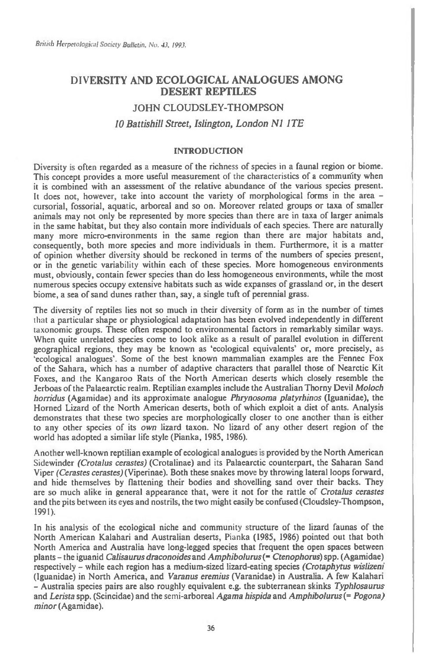## **DIVERSITY AND ECOLOGICAL ANALOGUES AMONG DESERT REPTILES**

## JOHN CLOUDSLEY-THOMPSON *10 Battishill Street, Islington, London N1 ITE*

## INTRODUCTION

Diversity is often regarded as a measure of the richness of species in a faunal region or biome. This concept provides a more useful measurement of the characteristics of a community when it is combined with an assessment of the relative abundance of the various species present. It does not, however, take into account the variety of morphological forms in the area cursorial, fossorial, aquatic, arboreal and so on. Moreover related groups or taxa of smaller animals may not only be represented by more species than there are in taxa of larger animals in the same habitat, but they also contain more individuals of each species. There are naturally many more micro-environments in the same region than there are major habitats and, consequently, both more species and more individuals in them. Furthermore, it is a matter of opinion whether diversity should be reckoned in terms of the numbers of species present, or in the genetic variability within each of these species. More homogeneous environments must, obviously, contain fewer species than do less homogeneous environments, while the most numerous species occupy extensive habitats such as wide expanses of grassland or, in the desert biome, a sea of sand dunes rather than, say, a single tuft of perennial grass.

The diversity of reptiles lies not so much in their diversity of form as in the number of times that a particular shape or physiological adaptation has been evolved independently in different taxonomic groups. These often respond to environmental factors in remarkably similar ways. When quite unrelated species come to look alike as a result of parallel evolution in different geographical regions, they may be known as 'ecological equivalents' or, more precisely, as 'ecological analogues'. Some of the best known mammalian examples are the Fennec Fox of the Sahara, which has a number of adaptive characters that parallel those of Nearctic Kit Foxes, and the Kangaroo Rats of the North American deserts which closely resemble the Jerboas of the Palaearctic realm. Reptilian examples include the Australian Thorny Devil *Moloch horridus* (Agamidae) and its approximate analogue *Phrynosoma platyrhinos* (Iguanidae), the Horned Lizard of the North American deserts, both of which exploit a diet of ants. Analysis demonstrates that these two species are morphologically closer to one another than is either to any other species of its *own* lizard taxon. No lizard of any other desert region of the world has adopted a similar life style (Pianka, 1985, 1986).

Another well-known reptilian example of ecological analogues is provided by the North American Sidewinder *(Crotalus cerastes)* (Crotalinae) and its Palaearctic counterpart, the Saharan Sand Viper *(Cerastes cerastes)(Viperinae).* Both these snakes move by throwing lateral loops forward, and hide themselves by flattening their bodies and shovelling sand over their backs. They are so much alike in general appearance that, were it not for the rattle of *Crotalus cerastes*  and the pits between its eyes and nostrils, the two might easily be confused (Cloudsley-Thompson, 1991).

In his analysis of the ecological niche and community structure of the lizard faunas of the North American Kalahari and Australian deserts, Pianka (1985, 1986) pointed out that both North America and Australia have long-legged species that frequent the open spaces between plants — the iguanid *Calisaurus draconoides* and *Amphibolurus(= Ctenophorus)spp.* (Agamidae) respectively — while each region has a medium-sized lizard-eating species *(Crotaphytus wislizeni*  (Iguanidae) in North America, and *Varanus eremius* (Varanidae) in Australia. A few Kalahari — Australia species pairs are also roughly equivalent e.g. the subterranean skinks *Typhlosaurus*  and *Lerista* spp. (Scincidae) and the semi-arboreal *Agama hispida* and *Amphibolurus (= Pogona) minor* (Agamidae).